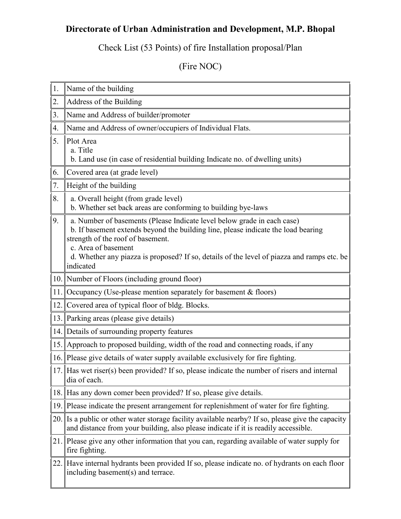## **Directorate of Urban Administration and Development, M.P. Bhopal**

Check List (53 Points) of fire Installation proposal/Plan

(Fire NOC)

- 1. Name of the building
- 2. Address of the Building
- 3. Name and Address of builder/promoter
- 4. Name and Address of owner/occupiers of Individual Flats.
- 5. Plot Area
	- a. Title
	- b. Land use (in case of residential building Indicate no. of dwelling units)
- 6. Covered area (at grade level)
- 7. Height of the building
- 8.  $\parallel$  a. Overall height (from grade level) b. Whether set back areas are conforming to building bye-laws
- 9.  $\parallel$  a. Number of basements (Please Indicate level below grade in each case) b. If basement extends beyond the building line, please indicate the load bearing strength of the roof of basement.
	- c. Area of basement

d. Whether any piazza is proposed? If so, details of the level of piazza and ramps etc. be indicated

- 10. Number of Floors (including ground floor)
- 11. Occupancy (Use-please mention separately for basement & floors)
- 12. Covered area of typical floor of bldg. Blocks.
- 13. Parking areas (please give details)
- 14. Details of surrounding property features
- 15. Approach to proposed building, width of the road and connecting roads, if any
- 16. Please give details of water supply available exclusively for fire fighting.
- 17. Has wet riser(s) been provided? If so, please indicate the number of risers and internal dia of each.
- 18. Has any down comer been provided? If so, please give details.
- 19. Please indicate the present arrangement for replenishment of water for fire fighting.
- 20. Is a public or other water storage facility available nearby? If so, please give the capacity and distance from your building, also please indicate if it is readily accessible.
- 21. Please give any other information that you can, regarding available of water supply for fire fighting.
- 22. Have internal hydrants been provided If so, please indicate no. of hydrants on each floor including basement(s) and terrace.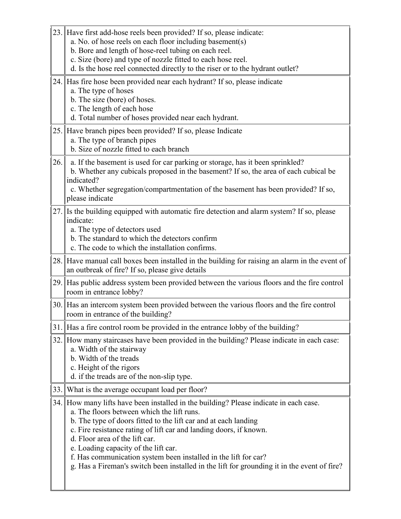- 23. Have first add-hose reels been provided? If so, please indicate:
	- a. No. of hose reels on each floor including basement(s)
		- b. Bore and length of hose-reel tubing on each reel.
		- c. Size (bore) and type of nozzle fitted to each hose reel.
		- d. Is the hose reel connected directly to the riser or to the hydrant outlet?
- 24. Has fire hose been provided near each hydrant? If so, please indicate
	- a. The type of hoses
	- b. The size (bore) of hoses.
	- c. The length of each hose
	- d. Total number of hoses provided near each hydrant.
- 25. Have branch pipes been provided? If so, please Indicate
	- a. The type of branch pipes
	- b. Size of nozzle fitted to each branch
- 26. a. If the basement is used for car parking or storage, has it been sprinkled? b. Whether any cubicals proposed in the basement? If so, the area of each cubical be indicated?

c. Whether segregation/compartmentation of the basement has been provided? If so, please indicate

- 27. Is the building equipped with automatic fire detection and alarm system? If so, please indicate:
	- a. The type of detectors used
	- b. The standard to which the detectors confirm
	- c. The code to which the installation confirms.
- 28. Have manual call boxes been installed in the building for raising an alarm in the event of an outbreak of fire? If so, please give details
- 29. Has public address system been provided between the various floors and the fire control room in entrance lobby?
- 30. Has an intercom system been provided between the various floors and the fire control room in entrance of the building?
- 31. Has a fire control room be provided in the entrance lobby of the building?
- 32. How many staircases have been provided in the building? Please indicate in each case: a. Width of the stairway
	- b. Width of the treads
	- c. Height of the rigors
	- d. if the treads are of the non-slip type.
- 33. What is the average occupant load per floor?
- 34. How many lifts have been installed in the building? Please indicate in each case.
	- a. The floors between which the lift runs.
	- b. The type of doors fitted to the lift car and at each landing
	- c. Fire resistance rating of lift car and landing doors, if known.
	- d. Floor area of the lift car.
	- e. Loading capacity of the lift car.
	- f. Has communication system been installed in the lift for car?
	- g. Has a Fireman's switch been installed in the lift for grounding it in the event of fire?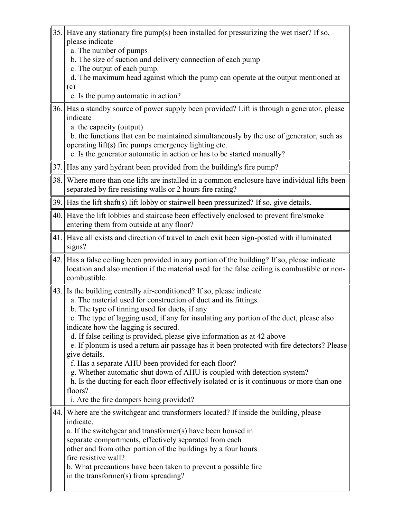- 35. Have any stationary fire pump(s) been installed for pressurizing the wet riser? If so, please indicate
	- a. The number of pumps
	- b. The size of suction and delivery connection of each pump
	- c. The output of each pump.
	- d. The maximum head against which the pump can operate at the output mentioned at (c)
	- e. Is the pump automatic in action?
- 36. Has a standby source of power supply been provided? Lift is through a generator, please indicate
	- a. the capacity (output)

b. the functions that can be maintained simultaneously by the use of generator, such as operating lift(s) fire pumps emergency lighting etc.

c. Is the generator automatic in action or has to be started manually?

- 37. Has any yard hydrant been provided from the building's fire pump?
- 38. Where more than one lifts are installed in a common enclosure have individual lifts been separated by fire resisting walls or 2 hours fire rating?
- 39. Has the lift shaft(s) lift lobby or stairwell been pressurized? If so, give details.
- 40. Have the lift lobbies and staircase been effectively enclosed to prevent fire/smoke entering them from outside at any floor?
- 41. Have all exists and direction of travel to each exit been sign-posted with illuminated signs?
- 42. Has a false ceiling been provided in any portion of the building? If so, please indicate location and also mention if the material used for the false ceiling is combustible or noncombustible.
- 43. Is the building centrally air-conditioned? If so, please indicate
	- a. The material used for construction of duct and its fittings.
		- b. The type of tinning used for ducts, if any

c. The type of lagging used, if any for insulating any portion of the duct, please also indicate how the lagging is secured.

d. If false ceiling is provided, please give information as at 42 above

e. If plonum is used a return air passage has it been protected with fire detectors? Please give details.

f. Has a separate AHU been provided for each floor?

g. Whether automatic shut down of AHU is coupled with detection system?

h. Is the ducting for each floor effectively isolated or is it continuous or more than one floors?

i. Are the fire dampers being provided?

44. Where are the switchgear and transformers located? If inside the building, please indicate.

a. If the switchgear and transformer(s) have been housed in separate compartments, effectively separated from each other and from other portion of the buildings by a four hours fire resistive wall?

b. What precautions have been taken to prevent a possible fire in the transformer(s) from spreading?